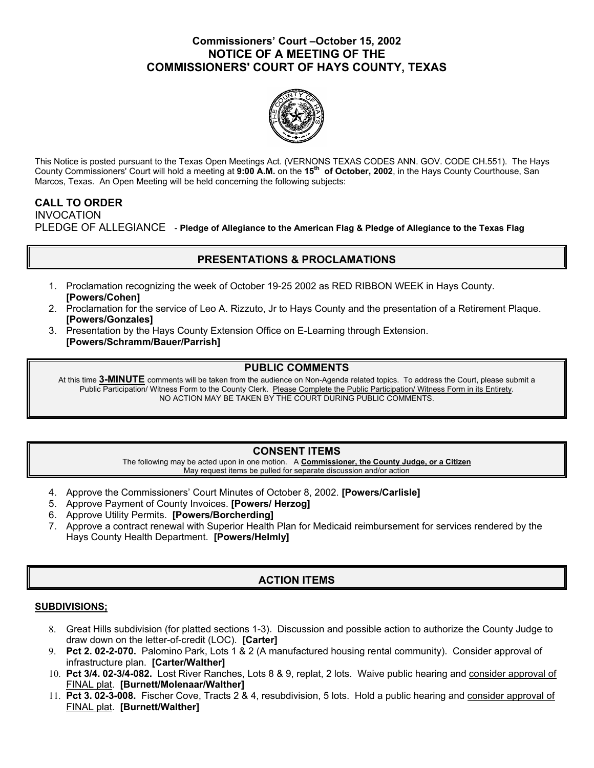### **Commissioners' Court –October 15, 2002 NOTICE OF A MEETING OF THE COMMISSIONERS' COURT OF HAYS COUNTY, TEXAS**



This Notice is posted pursuant to the Texas Open Meetings Act. (VERNONS TEXAS CODES ANN. GOV. CODE CH.551). The Hays County Commissioners' Court will hold a meeting at **9:00 A.M.** on the **15th of October, 2002**, in the Hays County Courthouse, San Marcos, Texas. An Open Meeting will be held concerning the following subjects:

### **CALL TO ORDER**

INVOCATION PLEDGE OF ALLEGIANCE - **Pledge of Allegiance to the American Flag & Pledge of Allegiance to the Texas Flag** 

## **PRESENTATIONS & PROCLAMATIONS**

- 1. Proclamation recognizing the week of October 19-25 2002 as RED RIBBON WEEK in Hays County. **[Powers/Cohen]**
- 2. Proclamation for the service of Leo A. Rizzuto, Jr to Hays County and the presentation of a Retirement Plaque. **[Powers/Gonzales]**
- 3. Presentation by the Hays County Extension Office on E-Learning through Extension. **[Powers/Schramm/Bauer/Parrish]**

### **PUBLIC COMMENTS**

At this time **3-MINUTE** comments will be taken from the audience on Non-Agenda related topics. To address the Court, please submit a Public Participation/ Witness Form to the County Clerk. Please Complete the Public Participation/ Witness Form in its Entirety. NO ACTION MAY BE TAKEN BY THE COURT DURING PUBLIC COMMENTS.

## **CONSENT ITEMS**

The following may be acted upon in one motion. A **Commissioner, the County Judge, or a Citizen** May request items be pulled for separate discussion and/or action

- 4. Approve the Commissioners' Court Minutes of October 8, 2002. **[Powers/Carlisle]**
- 5. Approve Payment of County Invoices. **[Powers/ Herzog]**
- 6. Approve Utility Permits. **[Powers/Borcherding]**
- 7. Approve a contract renewal with Superior Health Plan for Medicaid reimbursement for services rendered by the Hays County Health Department. **[Powers/Helmly]**

# **ACTION ITEMS**

#### **SUBDIVISIONS;**

- 8. Great Hills subdivision (for platted sections 1-3). Discussion and possible action to authorize the County Judge to draw down on the letter-of-credit (LOC). **[Carter]**
- 9. **Pct 2. 02-2-070.** Palomino Park, Lots 1 & 2 (A manufactured housing rental community). Consider approval of infrastructure plan. **[Carter/Walther]**
- 10. **Pct 3/4. 02-3/4-082.** Lost River Ranches, Lots 8 & 9, replat, 2 lots. Waive public hearing and consider approval of FINAL plat. **[Burnett/Molenaar/Walther]**
- 11. **Pct 3. 02-3-008.** Fischer Cove, Tracts 2 & 4, resubdivision, 5 lots. Hold a public hearing and consider approval of FINAL plat. **[Burnett/Walther]**